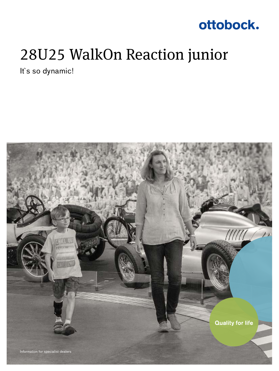### ottobock.

## 28U25 WalkOn Reaction junior

It's so dynamic!

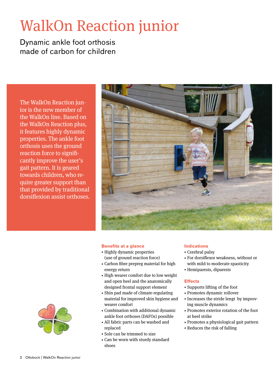# WalkOn Reaction junior

Dynamic ankle foot orthosis made of carbon for children

The WalkOn Reaction junior is the new member of the WalkOn line. Based on the WalkOn Reaction plus, it features highly dynamic properties. The ankle foot orthosis uses the ground reaction force to significantly improve the user's gait pattern. It is geared towards children, who require greater support than that provided by traditional dorsiflexion assist orthoses.



### **Benefits at a glance**

- Highly dynamic properties (use of ground reaction force)
- Carbon fibre prepreg material for high energy return
- High wearer comfort due to low weight and open heel and the anatomically designed frontal support element
- Shin pad made of climate-regulating material for improved skin hygiene and wearer comfort
- Combination with additional dynamic ankle foot orthoses (DAFOs) possible
- All fabric parts can be washed and
- replaced
- Sole can be trimmed to size
- Can be worn with sturdy standard shoes

### **Indications**

- Cerebral palsy
- For dorsiflexor weakness, without or with mild to moderate spasticity
- Hemiparesis, diparesis

#### **Effects**

- Supports lifting of the foot
- Promotes dynamic rollover
- Increases the stride lengt by improving muscle dynamics
- Promotes exterior rotation of the foot at heel strike
- Promotes a physiological gait pattern
- Reduces the risk of falling

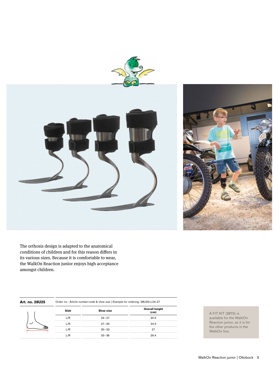



The orthosis design is adapted to the anatomical conditions of children and for this reason differs in its various sizes. Because it is comfortable to wear, the WalkOn Reaction junior enjoys high acceptance amongst children.

| Art. no. 28U25 | Order no.: Article number=side & shoe size   Example for ordering: 28U25=L24-27 |           |                               |
|----------------|---------------------------------------------------------------------------------|-----------|-------------------------------|
|                | Side                                                                            | Shoe size | <b>Overall height</b><br>(cm) |
|                | L/R                                                                             | $24 - 27$ | 20.5                          |
|                | L/R                                                                             | $27 - 30$ | 24.5                          |
|                | L/R                                                                             | $30 - 33$ |                               |
|                | _/R                                                                             | $33 - 36$ | 29.4                          |

A FIT KIT (28T5) is available for the WalkOn Reaction junior, as it is for the other products in the WalkOn line.